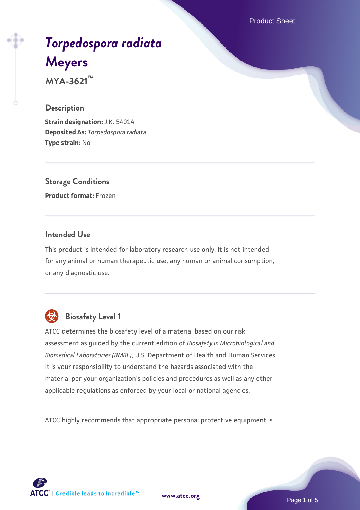Product Sheet

# *[Torpedospora radiata](https://www.atcc.org/products/mya-3621)* **[Meyers](https://www.atcc.org/products/mya-3621)**

**MYA-3621™**

#### **Description**

**Strain designation:** J.K. 5401A **Deposited As:** *Torpedospora radiata* **Type strain:** No

**Storage Conditions Product format:** Frozen

#### **Intended Use**

This product is intended for laboratory research use only. It is not intended for any animal or human therapeutic use, any human or animal consumption, or any diagnostic use.



## **Biosafety Level 1**

ATCC determines the biosafety level of a material based on our risk assessment as guided by the current edition of *Biosafety in Microbiological and Biomedical Laboratories (BMBL)*, U.S. Department of Health and Human Services. It is your responsibility to understand the hazards associated with the material per your organization's policies and procedures as well as any other applicable regulations as enforced by your local or national agencies.

ATCC highly recommends that appropriate personal protective equipment is

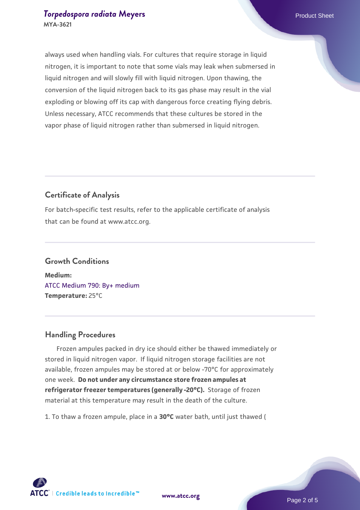always used when handling vials. For cultures that require storage in liquid nitrogen, it is important to note that some vials may leak when submersed in liquid nitrogen and will slowly fill with liquid nitrogen. Upon thawing, the conversion of the liquid nitrogen back to its gas phase may result in the vial exploding or blowing off its cap with dangerous force creating flying debris. Unless necessary, ATCC recommends that these cultures be stored in the vapor phase of liquid nitrogen rather than submersed in liquid nitrogen.

#### **Certificate of Analysis**

For batch-specific test results, refer to the applicable certificate of analysis that can be found at www.atcc.org.

### **Growth Conditions Medium:**  [ATCC Medium 790: By+ medium](https://www.atcc.org/-/media/product-assets/documents/microbial-media-formulations/7/9/0/atcc-medium-790.pdf?rev=16bd8c73853840ee9a63d6a1f4589a74) **Temperature:** 25°C

#### **Handling Procedures**

 Frozen ampules packed in dry ice should either be thawed immediately or stored in liquid nitrogen vapor. If liquid nitrogen storage facilities are not available, frozen ampules may be stored at or below -70°C for approximately one week. **Do not under any circumstance store frozen ampules at refrigerator freezer temperatures (generally -20°C).** Storage of frozen material at this temperature may result in the death of the culture.

1. To thaw a frozen ampule, place in a **30°C** water bath, until just thawed (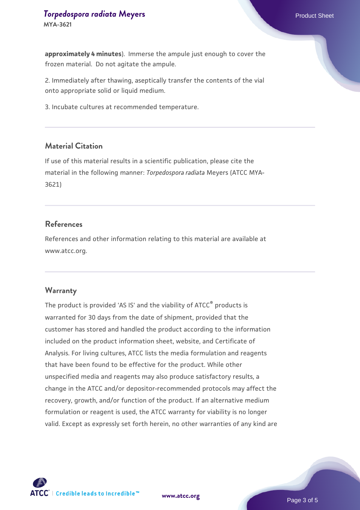#### **[Torpedospora radiata](https://www.atcc.org/products/mya-3621) [Meyers](https://www.atcc.org/products/mya-3621) Product Sheet** Product Sheet **MYA-3621**

**approximately 4 minutes**). Immerse the ampule just enough to cover the frozen material. Do not agitate the ampule.

2. Immediately after thawing, aseptically transfer the contents of the vial onto appropriate solid or liquid medium.

3. Incubate cultures at recommended temperature.

#### **Material Citation**

If use of this material results in a scientific publication, please cite the material in the following manner: *Torpedospora radiata* Meyers (ATCC MYA-3621)

#### **References**

References and other information relating to this material are available at www.atcc.org.

#### **Warranty**

The product is provided 'AS IS' and the viability of ATCC® products is warranted for 30 days from the date of shipment, provided that the customer has stored and handled the product according to the information included on the product information sheet, website, and Certificate of Analysis. For living cultures, ATCC lists the media formulation and reagents that have been found to be effective for the product. While other unspecified media and reagents may also produce satisfactory results, a change in the ATCC and/or depositor-recommended protocols may affect the recovery, growth, and/or function of the product. If an alternative medium formulation or reagent is used, the ATCC warranty for viability is no longer valid. Except as expressly set forth herein, no other warranties of any kind are



**[www.atcc.org](http://www.atcc.org)**

Page 3 of 5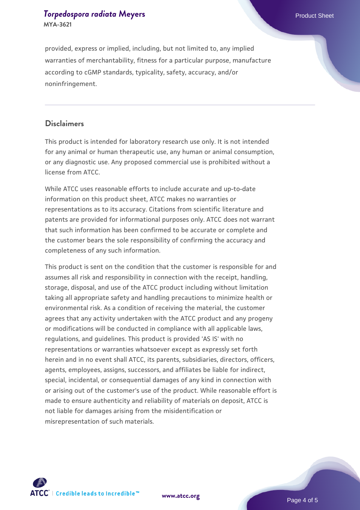#### **[Torpedospora radiata](https://www.atcc.org/products/mya-3621) [Meyers](https://www.atcc.org/products/mya-3621) Product Sheet** Product Sheet **MYA-3621**

provided, express or implied, including, but not limited to, any implied warranties of merchantability, fitness for a particular purpose, manufacture according to cGMP standards, typicality, safety, accuracy, and/or noninfringement.

#### **Disclaimers**

This product is intended for laboratory research use only. It is not intended for any animal or human therapeutic use, any human or animal consumption, or any diagnostic use. Any proposed commercial use is prohibited without a license from ATCC.

While ATCC uses reasonable efforts to include accurate and up-to-date information on this product sheet, ATCC makes no warranties or representations as to its accuracy. Citations from scientific literature and patents are provided for informational purposes only. ATCC does not warrant that such information has been confirmed to be accurate or complete and the customer bears the sole responsibility of confirming the accuracy and completeness of any such information.

This product is sent on the condition that the customer is responsible for and assumes all risk and responsibility in connection with the receipt, handling, storage, disposal, and use of the ATCC product including without limitation taking all appropriate safety and handling precautions to minimize health or environmental risk. As a condition of receiving the material, the customer agrees that any activity undertaken with the ATCC product and any progeny or modifications will be conducted in compliance with all applicable laws, regulations, and guidelines. This product is provided 'AS IS' with no representations or warranties whatsoever except as expressly set forth herein and in no event shall ATCC, its parents, subsidiaries, directors, officers, agents, employees, assigns, successors, and affiliates be liable for indirect, special, incidental, or consequential damages of any kind in connection with or arising out of the customer's use of the product. While reasonable effort is made to ensure authenticity and reliability of materials on deposit, ATCC is not liable for damages arising from the misidentification or misrepresentation of such materials.